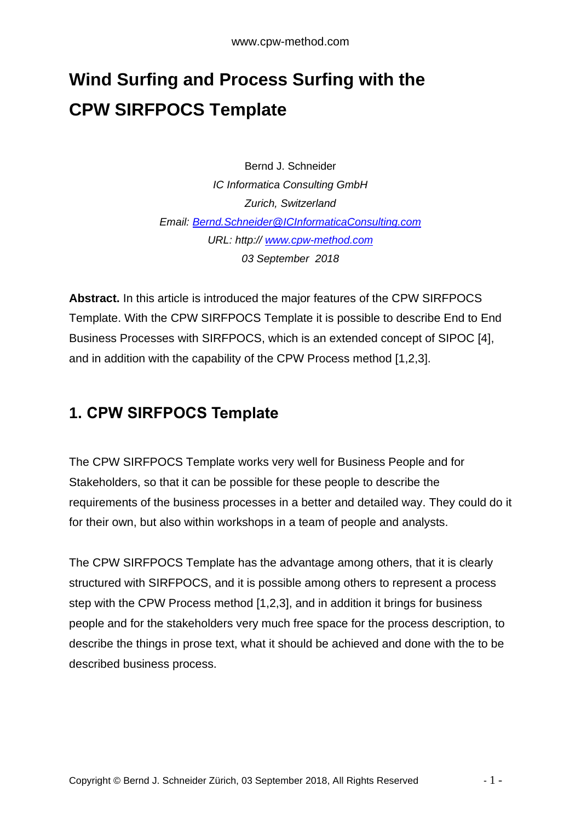# **Wind Surfing and Process Surfing with the CPW SIRFPOCS Template**

Bernd J. Schneider *IC Informatica Consulting GmbH Zurich, Switzerland Email: [Bernd.Schneider@ICInformaticaConsulting.com](mailto:Bernd.Schneider@ICInformaticaConsulting.com) URL: http:// [www.cpw-method.com](http://www.cpw-method.com/) 03 September 2018*

**Abstract.** In this article is introduced the major features of the CPW SIRFPOCS Template. With the CPW SIRFPOCS Template it is possible to describe End to End Business Processes with SIRFPOCS, which is an extended concept of SIPOC [4], and in addition with the capability of the CPW Process method [1,2,3].

#### **1. CPW SIRFPOCS Template**

The CPW SIRFPOCS Template works very well for Business People and for Stakeholders, so that it can be possible for these people to describe the requirements of the business processes in a better and detailed way. They could do it for their own, but also within workshops in a team of people and analysts.

The CPW SIRFPOCS Template has the advantage among others, that it is clearly structured with SIRFPOCS, and it is possible among others to represent a process step with the CPW Process method [1,2,3], and in addition it brings for business people and for the stakeholders very much free space for the process description, to describe the things in prose text, what it should be achieved and done with the to be described business process.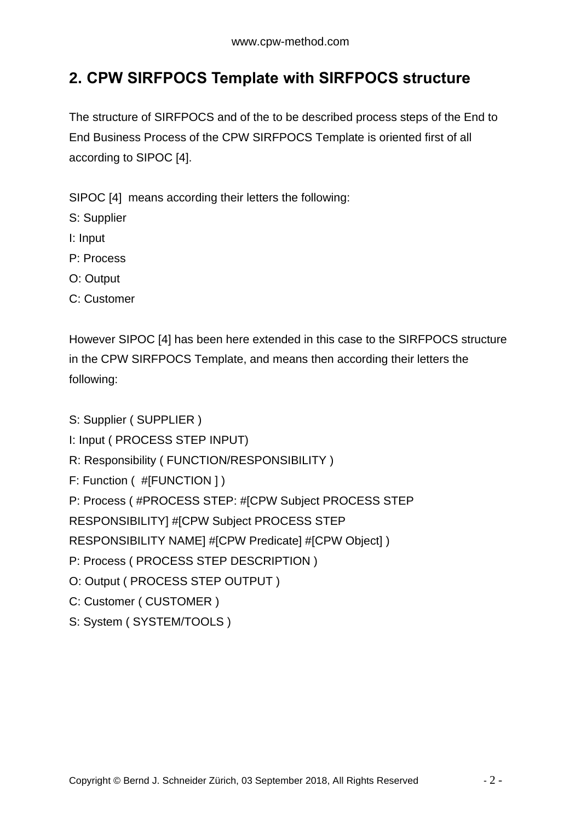### **2. CPW SIRFPOCS Template with SIRFPOCS structure**

The structure of SIRFPOCS and of the to be described process steps of the End to End Business Process of the CPW SIRFPOCS Template is oriented first of all according to SIPOC [4].

SIPOC [4] means according their letters the following:

- S: Supplier
- I: Input
- P: Process
- O: Output
- C: Customer

However SIPOC [4] has been here extended in this case to the SIRFPOCS structure in the CPW SIRFPOCS Template, and means then according their letters the following:

S: Supplier ( SUPPLIER ) I: Input ( PROCESS STEP INPUT) R: Responsibility ( FUNCTION/RESPONSIBILITY ) F: Function ( #[FUNCTION ] ) P: Process ( #PROCESS STEP: #[CPW Subject PROCESS STEP RESPONSIBILITY] #[CPW Subject PROCESS STEP RESPONSIBILITY NAME] #[CPW Predicate] #[CPW Object] ) P: Process ( PROCESS STEP DESCRIPTION ) O: Output ( PROCESS STEP OUTPUT ) C: Customer ( CUSTOMER )

S: System ( SYSTEM/TOOLS )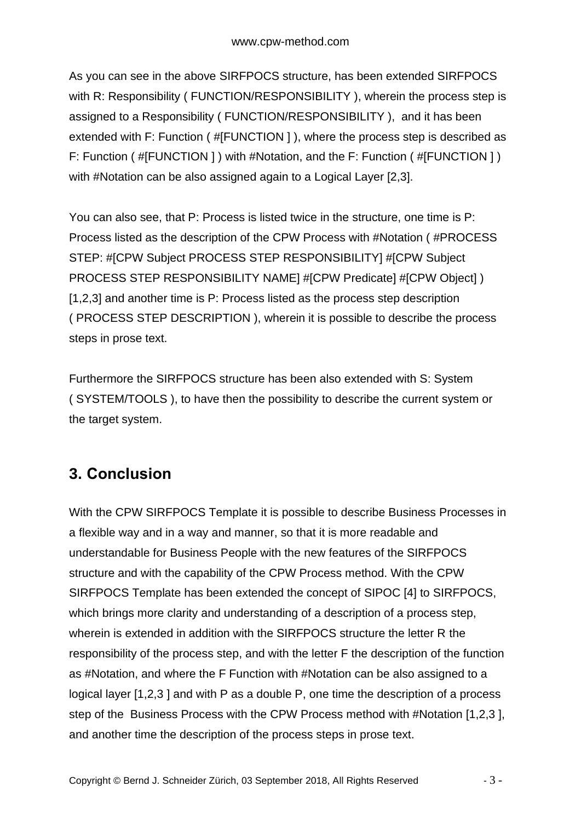As you can see in the above SIRFPOCS structure, has been extended SIRFPOCS with R: Responsibility ( FUNCTION/RESPONSIBILITY ), wherein the process step is assigned to a Responsibility ( FUNCTION/RESPONSIBILITY ), and it has been extended with F: Function ( #[FUNCTION ] ), where the process step is described as F: Function ( #[FUNCTION ] ) with #Notation, and the F: Function ( #[FUNCTION ] ) with #Notation can be also assigned again to a Logical Layer [2,3].

You can also see, that P: Process is listed twice in the structure, one time is P: Process listed as the description of the CPW Process with #Notation ( #PROCESS STEP: #[CPW Subject PROCESS STEP RESPONSIBILITY] #[CPW Subject PROCESS STEP RESPONSIBILITY NAME] #[CPW Predicate] #[CPW Object] ) [1,2,3] and another time is P: Process listed as the process step description ( PROCESS STEP DESCRIPTION ), wherein it is possible to describe the process steps in prose text.

Furthermore the SIRFPOCS structure has been also extended with S: System ( SYSTEM/TOOLS ), to have then the possibility to describe the current system or the target system.

## **3. Conclusion**

With the CPW SIRFPOCS Template it is possible to describe Business Processes in a flexible way and in a way and manner, so that it is more readable and understandable for Business People with the new features of the SIRFPOCS structure and with the capability of the CPW Process method. With the CPW SIRFPOCS Template has been extended the concept of SIPOC [4] to SIRFPOCS, which brings more clarity and understanding of a description of a process step, wherein is extended in addition with the SIRFPOCS structure the letter R the responsibility of the process step, and with the letter F the description of the function as #Notation, and where the F Function with #Notation can be also assigned to a logical layer [1,2,3 ] and with P as a double P, one time the description of a process step of the Business Process with the CPW Process method with #Notation [1,2,3 ], and another time the description of the process steps in prose text.